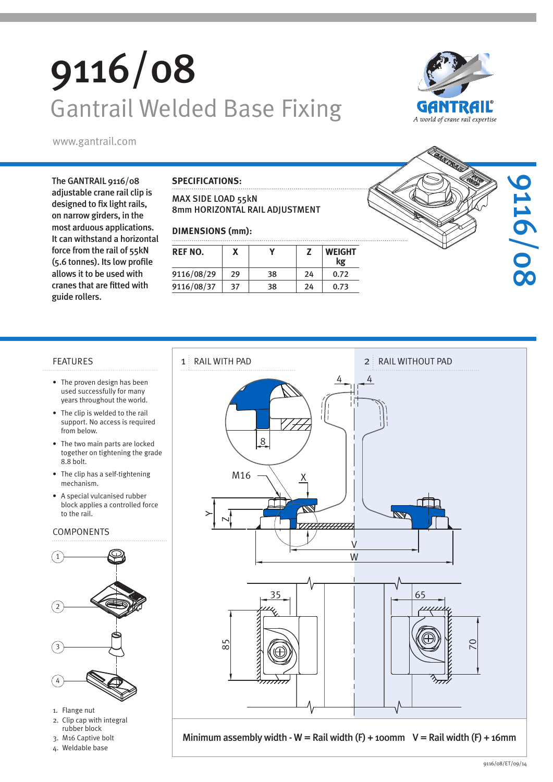# 9116/08 Gantrail Welded Base Fixing





The GANTRAIL 9116/08 adjustable crane rail clip is designed to fix light rails, on narrow girders, in the most arduous applications. It can withstand a horizontal force from the rail of 55kN (5.6 tonnes). Its low profile allows it to be used with cranes that are fitted with guide rollers.

### **SPECIFICATIONS:**

MAX SIDE LOAD 55kN 8mm HORIZONTAL RAIL ADJUSTMENT

### **DIMENSIONS (mm):**

| REF NO.    |    |    |    | <b>WEIGHT</b><br>kg |  |  |  |
|------------|----|----|----|---------------------|--|--|--|
| 9116/08/29 | 29 | 38 | 24 | 0.72                |  |  |  |
| 9116/08/37 | 37 | 38 | 24 | 0.73                |  |  |  |



- The proven design has been used successfully for many years throughout the world.
- The clip is welded to the rail support. No access is required from below.
- The two main parts are locked together on tightening the grade 8.8 bolt.
- The clip has a self-tightening mechanism.
- A special vulcanised rubber block applies a controlled force to the rail.

### COMPONENTS



- 1. Flange nut
- 2. Clip cap with integral rubber block
- 3. M16 Captive bolt
- 4. Weldable base